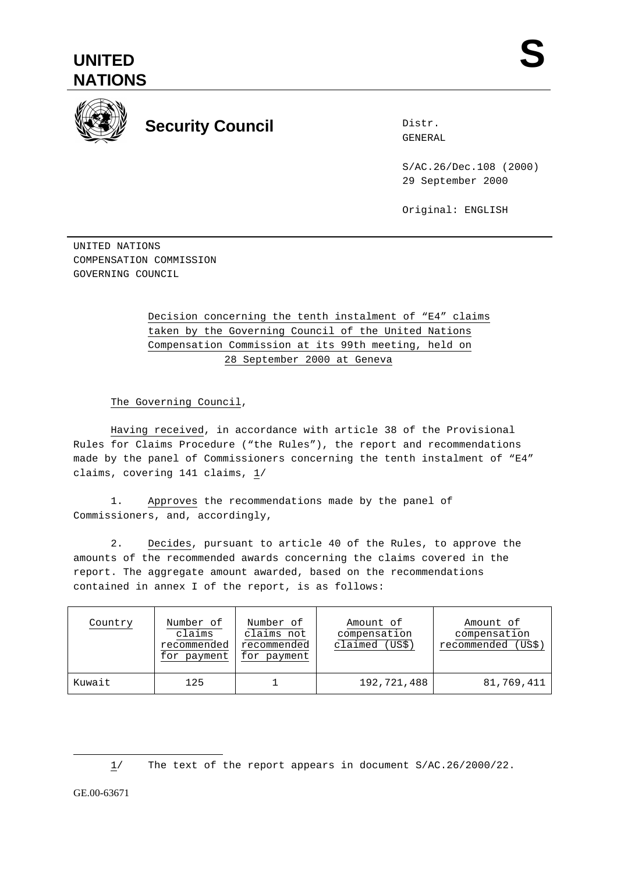



## **Security Council**

Distr. GENERAL

S/AC.26/Dec.108 (2000) 29 September 2000

Original: ENGLISH

UNITED NATIONS COMPENSATION COMMISSION GOVERNING COUNCIL

## Decision concerning the tenth instalment of "E4" claims taken by the Governing Council of the United Nations Compensation Commission at its 99th meeting, held on 28 September 2000 at Geneva

The Governing Council,

Having received, in accordance with article 38 of the Provisional Rules for Claims Procedure ("the Rules"), the report and recommendations made by the panel of Commissioners concerning the tenth instalment of "E4" claims, covering 141 claims, 1/

1. Approves the recommendations made by the panel of Commissioners, and, accordingly,

2. Decides, pursuant to article 40 of the Rules, to approve the amounts of the recommended awards concerning the claims covered in the report. The aggregate amount awarded, based on the recommendations contained in annex I of the report, is as follows:

| Country | Number of<br>claims<br>recommended<br>for payment | Number of<br>claims not<br>recommended<br>for payment | Amount of<br>compensation<br>claimed (US\$) | Amount of<br>compensation<br>recommended (US\$) |
|---------|---------------------------------------------------|-------------------------------------------------------|---------------------------------------------|-------------------------------------------------|
| Kuwait  | 125                                               |                                                       | 192,721,488                                 | 81,769,411                                      |

1/ The text of the report appears in document S/AC.26/2000/22.

GE.00-63671

 $\overline{a}$